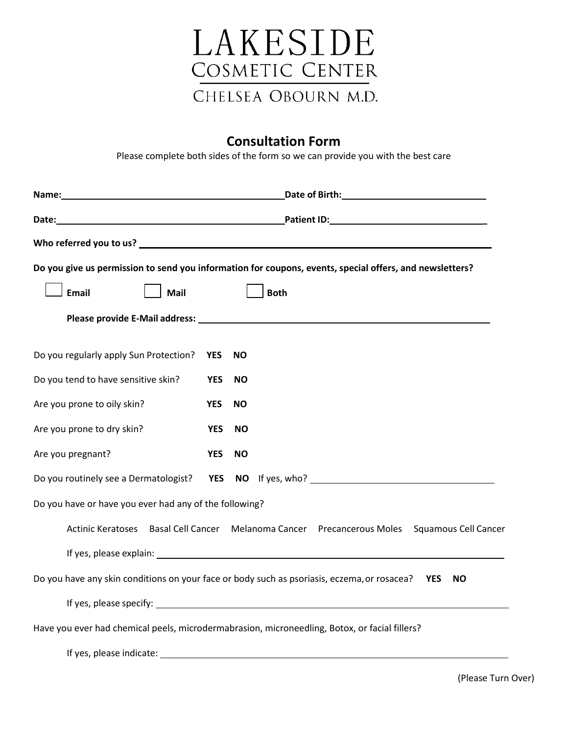

## **Consultation Form**

Please complete both sides of the form so we can provide you with the best care

|                                                        | Date of Birth: National Assembly Property and Assembly Property and Assembly Property and Assembly Property and Assembly Property and Assembly Property and Assembly Property and Assembly Property and Assembly Property and        |                                                                                                                                                                                                                                |  |  |
|--------------------------------------------------------|--------------------------------------------------------------------------------------------------------------------------------------------------------------------------------------------------------------------------------------|--------------------------------------------------------------------------------------------------------------------------------------------------------------------------------------------------------------------------------|--|--|
|                                                        | Date: <u>New York: New York: New York: New York: New York: New York: New York: New York: New York: New York: New York: New York: New York: New York: New York: New York: New York: New York: New York: New York: New York: New Y</u> |                                                                                                                                                                                                                                |  |  |
|                                                        |                                                                                                                                                                                                                                      |                                                                                                                                                                                                                                |  |  |
|                                                        |                                                                                                                                                                                                                                      | Do you give us permission to send you information for coupons, events, special offers, and newsletters?                                                                                                                        |  |  |
| <b>Email</b><br>Mail                                   |                                                                                                                                                                                                                                      | <b>Both</b>                                                                                                                                                                                                                    |  |  |
|                                                        |                                                                                                                                                                                                                                      |                                                                                                                                                                                                                                |  |  |
| Do you regularly apply Sun Protection?                 | <b>YES</b>                                                                                                                                                                                                                           | <b>NO</b>                                                                                                                                                                                                                      |  |  |
| Do you tend to have sensitive skin?                    | <b>YES</b>                                                                                                                                                                                                                           | <b>NO</b>                                                                                                                                                                                                                      |  |  |
| Are you prone to oily skin?                            | <b>YES</b>                                                                                                                                                                                                                           | <b>NO</b>                                                                                                                                                                                                                      |  |  |
| Are you prone to dry skin?                             | <b>YES</b>                                                                                                                                                                                                                           | <b>NO</b>                                                                                                                                                                                                                      |  |  |
| Are you pregnant?                                      | <b>YES</b>                                                                                                                                                                                                                           | <b>NO</b>                                                                                                                                                                                                                      |  |  |
|                                                        |                                                                                                                                                                                                                                      | Do you routinely see a Dermatologist?  YES  NO  If yes, who?                                                                                                                                                                   |  |  |
| Do you have or have you ever had any of the following? |                                                                                                                                                                                                                                      |                                                                                                                                                                                                                                |  |  |
| <b>Basal Cell Cancer</b><br><b>Actinic Keratoses</b>   |                                                                                                                                                                                                                                      | Melanoma Cancer Precancerous Moles<br><b>Squamous Cell Cancer</b>                                                                                                                                                              |  |  |
|                                                        |                                                                                                                                                                                                                                      | If yes, please explain: example and a series of the series of the series of the series of the series of the series of the series of the series of the series of the series of the series of the series of the series of the se |  |  |
|                                                        |                                                                                                                                                                                                                                      | Do you have any skin conditions on your face or body such as psoriasis, eczema, or rosacea?<br><b>YES</b><br><b>NO</b>                                                                                                         |  |  |
|                                                        |                                                                                                                                                                                                                                      | If yes, please specify: North and the set of the set of the set of the set of the set of the set of the set of the set of the set of the set of the set of the set of the set of the set of the set of the set of the set of t |  |  |
|                                                        |                                                                                                                                                                                                                                      | Have you ever had chemical peels, microdermabrasion, microneedling, Botox, or facial fillers?                                                                                                                                  |  |  |
| If yes, please indicate:                               |                                                                                                                                                                                                                                      |                                                                                                                                                                                                                                |  |  |

(Please Turn Over)